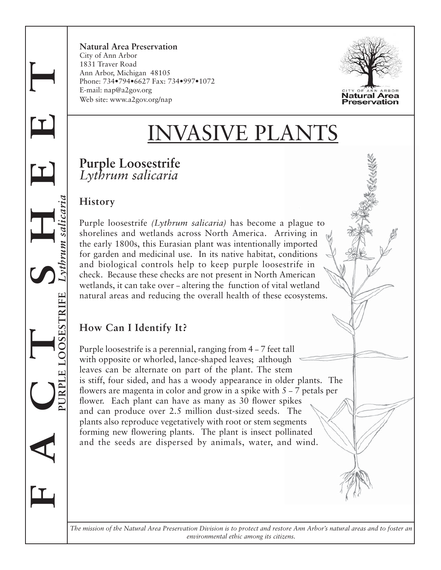**Natural Area Preservation** City of Ann Arbor 1831 Traver Road Ann Arbor, Michigan 48105 Phone: 734•794•6627 Fax: 734•997•1072 E-mail: nap@a2gov.org Web site: www.a2gov.org/nap



# VASIVE PLAI

## **Purple Loosestrife** *Lythrum salicaria*

#### **History**

**F A C T S H E E T**

 $\mathbf{I}$ 

**PURPLE LOOSESTRIFE** *Lythrum salicaria*

Purple loosestrife *(Lythrum salicaria)* has become a plague to shorelines and wetlands across North America. Arriving in the early 1800s, this Eurasian plant was intentionally imported for garden and medicinal use. In its native habitat, conditions and biological controls help to keep purple loosestrife in check. Because these checks are not present in North American wetlands, it can take over – altering the function of vital wetland natural areas and reducing the overall health of these ecosystems.

## **How Can I Identify It?**

Purple loosestrife is a perennial, ranging from 4 – 7 feet tall with opposite or whorled, lance-shaped leaves; although leaves can be alternate on part of the plant. The stem is stiff, four sided, and has a woody appearance in older plants. The flowers are magenta in color and grow in a spike with  $5 - 7$  petals per flower. Each plant can have as many as 30 flower spikes and can produce over 2.5 million dust-sized seeds. The plants also reproduce vegetatively with root or stem segments forming new flowering plants. The plant is insect pollinated and the seeds are dispersed by animals, water, and wind.

*The mission of the Natural Area Preservation Division is to protect and restore Ann Arbor's natural areas and to foster an environmental ethic among its citizens.*